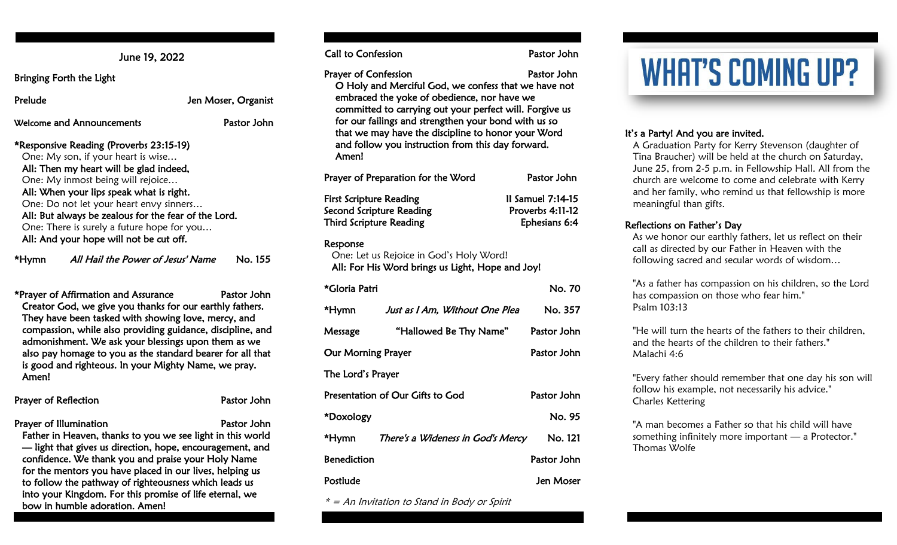June 19, 2022

Bringing Forth the Light

#### Prelude Jen Moser, Organist

Welcome and Announcements Pastor John

\*Responsive Reading (Proverbs 23:15-19) One: My son, if your heart is wise… All: Then my heart will be glad indeed, One: My inmost being will rejoice… All: When your lips speak what is right. One: Do not let your heart envy sinners… All: But always be zealous for the fear of the Lord. One: There is surely a future hope for you… All: And your hope will not be cut off.

\*Hymn All Hail the Power of Jesus' Name No. 155

\*Prayer of Affirmation and Assurance Pastor John Creator God, we give you thanks for our earthly fathers. They have been tasked with showing love, mercy, and compassion, while also providing guidance, discipline, and admonishment. We ask your blessings upon them as we also pay homage to you as the standard bearer for all that is good and righteous. In your Mighty Name, we pray. Amen!

| <b>Prayer of Reflection</b>                                | Pastor John |
|------------------------------------------------------------|-------------|
| Prayer of Illumination                                     | Pastor John |
| Father in Heaven, thanks to you we see light in this world |             |
| If that that gives us direction hope encouragement and     |             |

— light that gives us direction, hope, encouragement, and confidence. We thank you and praise your Holy Name for the mentors you have placed in our lives, helping us to follow the pathway of righteousness which leads us into your Kingdom. For this promise of life eternal, we bow in humble adoration. Amen!

Call to Confession **Pastor John** 

Prayer of Confession **Pastor John** O Holy and Merciful God, we confess that we have not embraced the yoke of obedience, nor have we committed to carrying out your perfect will. Forgive us for our failings and strengthen your bond with us so that we may have the discipline to honor your Word and follow you instruction from this day forward. Amen!

| Prayer of Preparation for the Word                         | Pastor John                           |
|------------------------------------------------------------|---------------------------------------|
| <b>First Scripture Reading</b><br>Second Scripture Reading | Il Samuel 7:14-15<br>Proverbs 4:11-12 |
| <b>Third Scripture Reading</b>                             | Ephesians 6:4                         |

#### Response

 One: Let us Rejoice in God's Holy Word! All: For His Word brings us Light, Hope and Joy!

| *Gloria Patri             |                                   | No. 70      |  |  |
|---------------------------|-----------------------------------|-------------|--|--|
| *Hymn                     | Just as I Am. Without One Plea    | No. 357     |  |  |
| Message                   | "Hallowed Be Thy Name"            | Pastor John |  |  |
| <b>Our Morning Prayer</b> |                                   | Pastor John |  |  |
| The Lord's Prayer         |                                   |             |  |  |
|                           | Presentation of Our Gifts to God  | Pastor John |  |  |
| *Doxology                 |                                   | No. 95      |  |  |
| *Hymn                     | There's a Wideness in God's Mercy | No. 121     |  |  |
| <b>Benediction</b>        |                                   | Pastor John |  |  |
| Postlude                  |                                   | Jen Moser   |  |  |

\* = An Invitation to Stand in Body or Spirit

# **WHAT'S COMING UP?**

#### It's a Party! And you are invited.

A Graduation Party for Kerry Stevenson (daughter of Tina Braucher) will be held at the church on Saturday, June 25, from 2-5 p.m. in Fellowship Hall. All from the church are welcome to come and celebrate with Kerry and her family, who remind us that fellowship is more meaningful than gifts.

#### Reflections on Father's Day

As we honor our earthly fathers, let us reflect on their call as directed by our Father in Heaven with the following sacred and secular words of wisdom…

"As a father has compassion on his children, so the Lord has compassion on those who fear him." Psalm 103:13

"He will turn the hearts of the fathers to their children, and the hearts of the children to their fathers." Malachi 4:6

"Every father should remember that one day his son will follow his example, not necessarily his advice." Charles Kettering

"A man becomes a Father so that his child will have something infinitely more important — a Protector." Thomas Wolfe